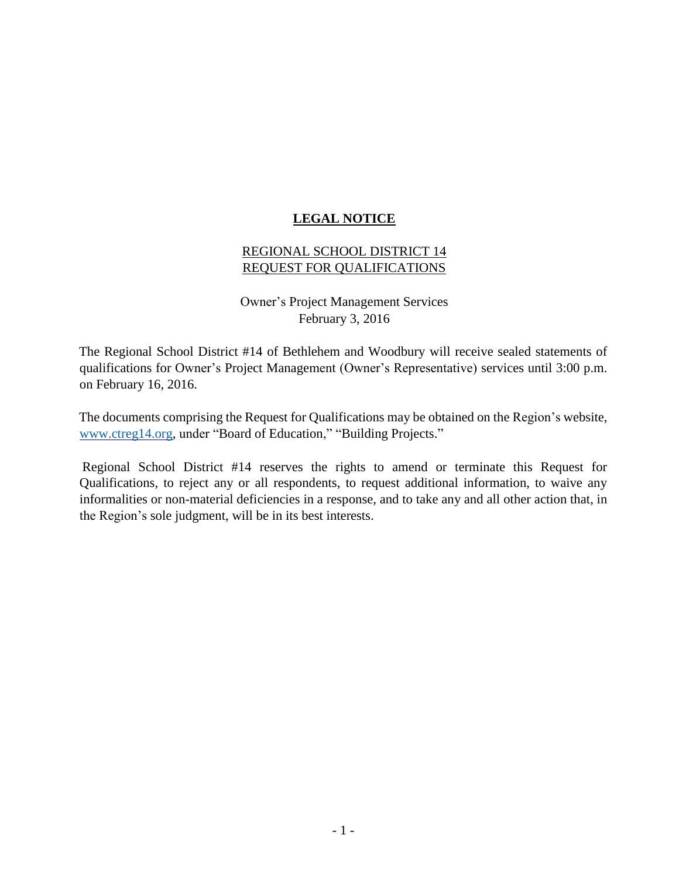### **LEGAL NOTICE**

#### REGIONAL SCHOOL DISTRICT 14 REQUEST FOR QUALIFICATIONS

Owner's Project Management Services February 3, 2016

The Regional School District #14 of Bethlehem and Woodbury will receive sealed statements of qualifications for Owner's Project Management (Owner's Representative) services until 3:00 p.m. on February 16, 2016.

The documents comprising the Request for Qualifications may be obtained on the Region's website, [www.ctreg14.org,](http://www.ctreg14.org/) under "Board of Education," "Building Projects."

Regional School District #14 reserves the rights to amend or terminate this Request for Qualifications, to reject any or all respondents, to request additional information, to waive any informalities or non-material deficiencies in a response, and to take any and all other action that, in the Region's sole judgment, will be in its best interests.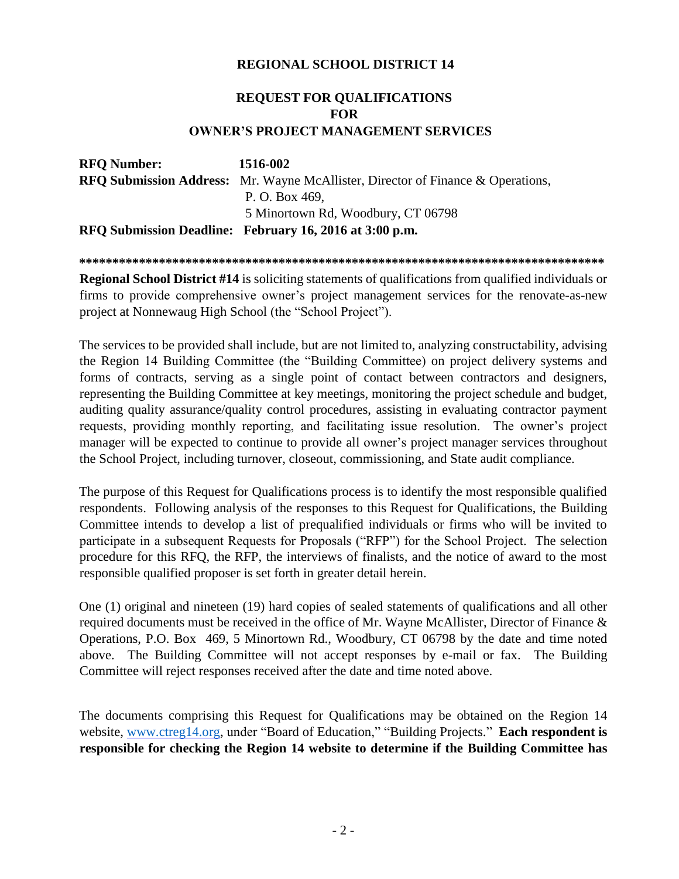#### **REGIONAL SCHOOL DISTRICT 14**

## **REQUEST FOR QUALIFICATIONS FOR OWNER'S PROJECT MANAGEMENT SERVICES**

| <b>RFO Number:</b> | 1516-002                                                                               |
|--------------------|----------------------------------------------------------------------------------------|
|                    | <b>RFO Submission Address:</b> Mr. Wayne McAllister, Director of Finance & Operations, |
|                    | P. O. Box 469,                                                                         |
|                    | 5 Minortown Rd, Woodbury, CT 06798                                                     |
|                    | RFQ Submission Deadline: February 16, 2016 at 3:00 p.m.                                |

**\*\*\*\*\*\*\*\*\*\*\*\*\*\*\*\*\*\*\*\*\*\*\*\*\*\*\*\*\*\*\*\*\*\*\*\*\*\*\*\*\*\*\*\*\*\*\*\*\*\*\*\*\*\*\*\*\*\*\*\*\*\*\*\*\*\*\*\*\*\*\*\*\*\*\*\*\*\*\*** 

**Regional School District #14** is soliciting statements of qualifications from qualified individuals or firms to provide comprehensive owner's project management services for the renovate-as-new project at Nonnewaug High School (the "School Project").

The services to be provided shall include, but are not limited to, analyzing constructability, advising the Region 14 Building Committee (the "Building Committee) on project delivery systems and forms of contracts, serving as a single point of contact between contractors and designers, representing the Building Committee at key meetings, monitoring the project schedule and budget, auditing quality assurance/quality control procedures, assisting in evaluating contractor payment requests, providing monthly reporting, and facilitating issue resolution. The owner's project manager will be expected to continue to provide all owner's project manager services throughout the School Project, including turnover, closeout, commissioning, and State audit compliance.

The purpose of this Request for Qualifications process is to identify the most responsible qualified respondents. Following analysis of the responses to this Request for Qualifications, the Building Committee intends to develop a list of prequalified individuals or firms who will be invited to participate in a subsequent Requests for Proposals ("RFP") for the School Project. The selection procedure for this RFQ, the RFP, the interviews of finalists, and the notice of award to the most responsible qualified proposer is set forth in greater detail herein.

One (1) original and nineteen (19) hard copies of sealed statements of qualifications and all other required documents must be received in the office of Mr. Wayne McAllister, Director of Finance & Operations, P.O. Box 469, 5 Minortown Rd., Woodbury, CT 06798 by the date and time noted above. The Building Committee will not accept responses by e-mail or fax. The Building Committee will reject responses received after the date and time noted above.

The documents comprising this Request for Qualifications may be obtained on the Region 14 website, [www.ctreg14.org,](http://www.ctreg14.org/) under "Board of Education," "Building Projects." **Each respondent is responsible for checking the Region 14 website to determine if the Building Committee has**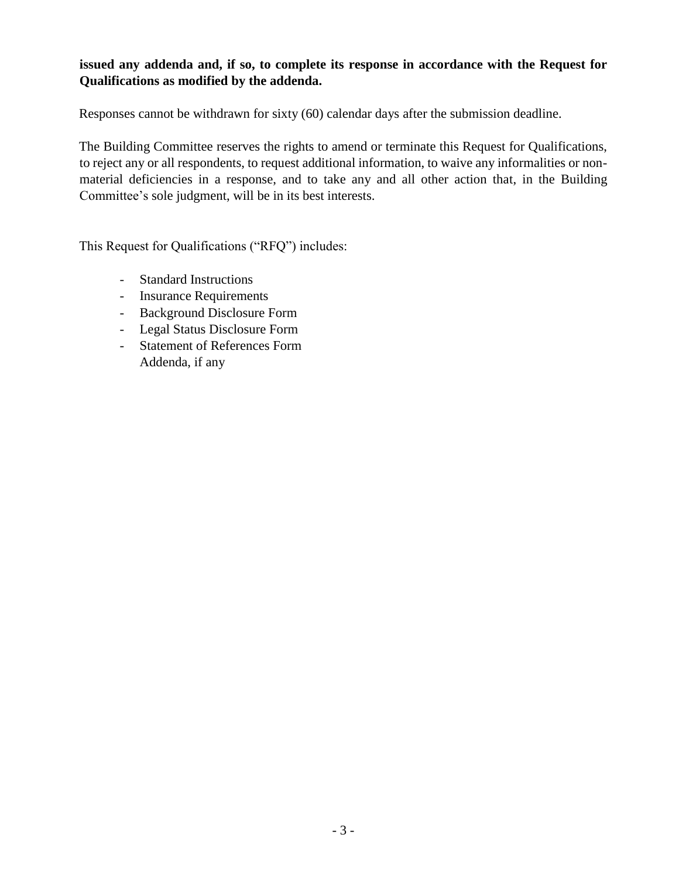#### **issued any addenda and, if so, to complete its response in accordance with the Request for Qualifications as modified by the addenda.**

Responses cannot be withdrawn for sixty (60) calendar days after the submission deadline.

The Building Committee reserves the rights to amend or terminate this Request for Qualifications, to reject any or all respondents, to request additional information, to waive any informalities or nonmaterial deficiencies in a response, and to take any and all other action that, in the Building Committee's sole judgment, will be in its best interests.

This Request for Qualifications ("RFQ") includes:

- Standard Instructions
- Insurance Requirements
- Background Disclosure Form
- Legal Status Disclosure Form
- Statement of References Form Addenda, if any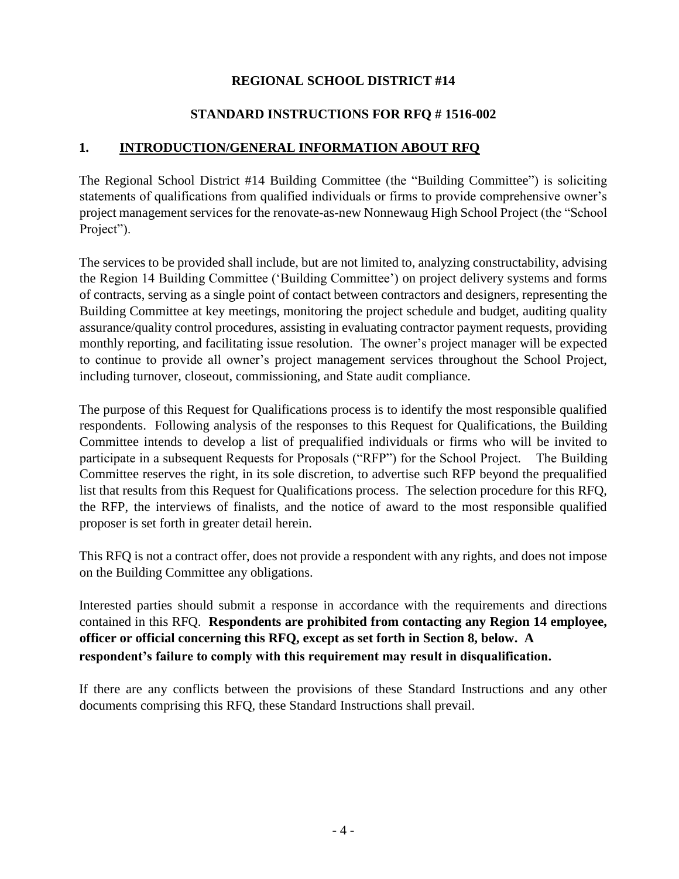#### **REGIONAL SCHOOL DISTRICT #14**

#### **STANDARD INSTRUCTIONS FOR RFQ # 1516-002**

#### **1. INTRODUCTION/GENERAL INFORMATION ABOUT RFQ**

The Regional School District #14 Building Committee (the "Building Committee") is soliciting statements of qualifications from qualified individuals or firms to provide comprehensive owner's project management services for the renovate-as-new Nonnewaug High School Project (the "School Project").

The services to be provided shall include, but are not limited to, analyzing constructability, advising the Region 14 Building Committee ('Building Committee') on project delivery systems and forms of contracts, serving as a single point of contact between contractors and designers, representing the Building Committee at key meetings, monitoring the project schedule and budget, auditing quality assurance/quality control procedures, assisting in evaluating contractor payment requests, providing monthly reporting, and facilitating issue resolution. The owner's project manager will be expected to continue to provide all owner's project management services throughout the School Project, including turnover, closeout, commissioning, and State audit compliance.

The purpose of this Request for Qualifications process is to identify the most responsible qualified respondents. Following analysis of the responses to this Request for Qualifications, the Building Committee intends to develop a list of prequalified individuals or firms who will be invited to participate in a subsequent Requests for Proposals ("RFP") for the School Project. The Building Committee reserves the right, in its sole discretion, to advertise such RFP beyond the prequalified list that results from this Request for Qualifications process. The selection procedure for this RFQ, the RFP, the interviews of finalists, and the notice of award to the most responsible qualified proposer is set forth in greater detail herein.

This RFQ is not a contract offer, does not provide a respondent with any rights, and does not impose on the Building Committee any obligations.

Interested parties should submit a response in accordance with the requirements and directions contained in this RFQ. **Respondents are prohibited from contacting any Region 14 employee, officer or official concerning this RFQ, except as set forth in Section 8, below. A respondent's failure to comply with this requirement may result in disqualification.** 

If there are any conflicts between the provisions of these Standard Instructions and any other documents comprising this RFQ, these Standard Instructions shall prevail.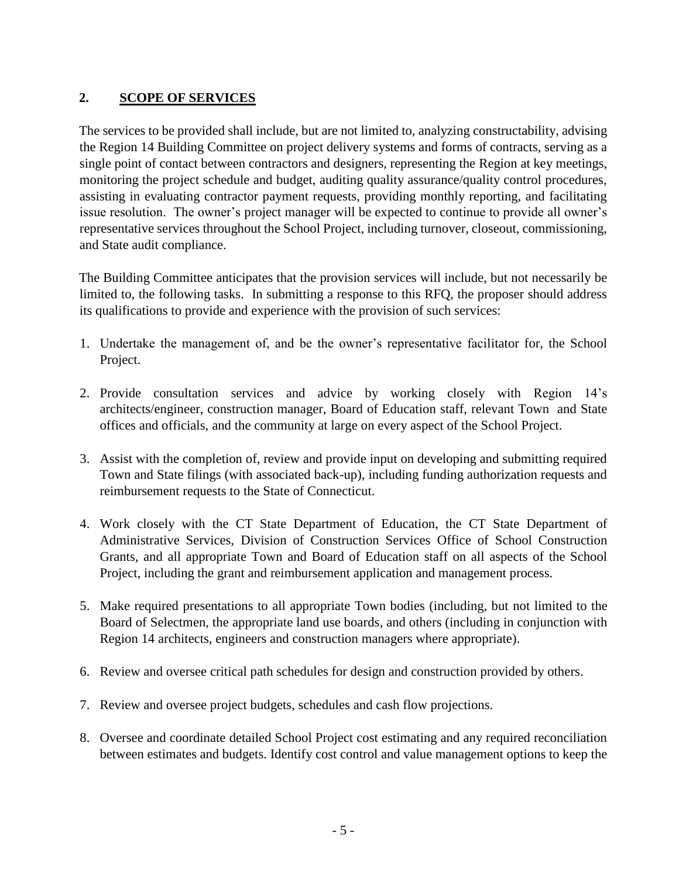## **2. SCOPE OF SERVICES**

The services to be provided shall include, but are not limited to, analyzing constructability, advising the Region 14 Building Committee on project delivery systems and forms of contracts, serving as a single point of contact between contractors and designers, representing the Region at key meetings, monitoring the project schedule and budget, auditing quality assurance/quality control procedures, assisting in evaluating contractor payment requests, providing monthly reporting, and facilitating issue resolution. The owner's project manager will be expected to continue to provide all owner's representative services throughout the School Project, including turnover, closeout, commissioning, and State audit compliance.

The Building Committee anticipates that the provision services will include, but not necessarily be limited to, the following tasks. In submitting a response to this RFQ, the proposer should address its qualifications to provide and experience with the provision of such services:

- 1. Undertake the management of, and be the owner's representative facilitator for, the School Project.
- 2. Provide consultation services and advice by working closely with Region 14's architects/engineer, construction manager, Board of Education staff, relevant Town and State offices and officials, and the community at large on every aspect of the School Project.
- 3. Assist with the completion of, review and provide input on developing and submitting required Town and State filings (with associated back-up), including funding authorization requests and reimbursement requests to the State of Connecticut.
- 4. Work closely with the CT State Department of Education, the CT State Department of Administrative Services, Division of Construction Services Office of School Construction Grants, and all appropriate Town and Board of Education staff on all aspects of the School Project, including the grant and reimbursement application and management process.
- 5. Make required presentations to all appropriate Town bodies (including, but not limited to the Board of Selectmen, the appropriate land use boards, and others (including in conjunction with Region 14 architects, engineers and construction managers where appropriate).
- 6. Review and oversee critical path schedules for design and construction provided by others.
- 7. Review and oversee project budgets, schedules and cash flow projections.
- 8. Oversee and coordinate detailed School Project cost estimating and any required reconciliation between estimates and budgets. Identify cost control and value management options to keep the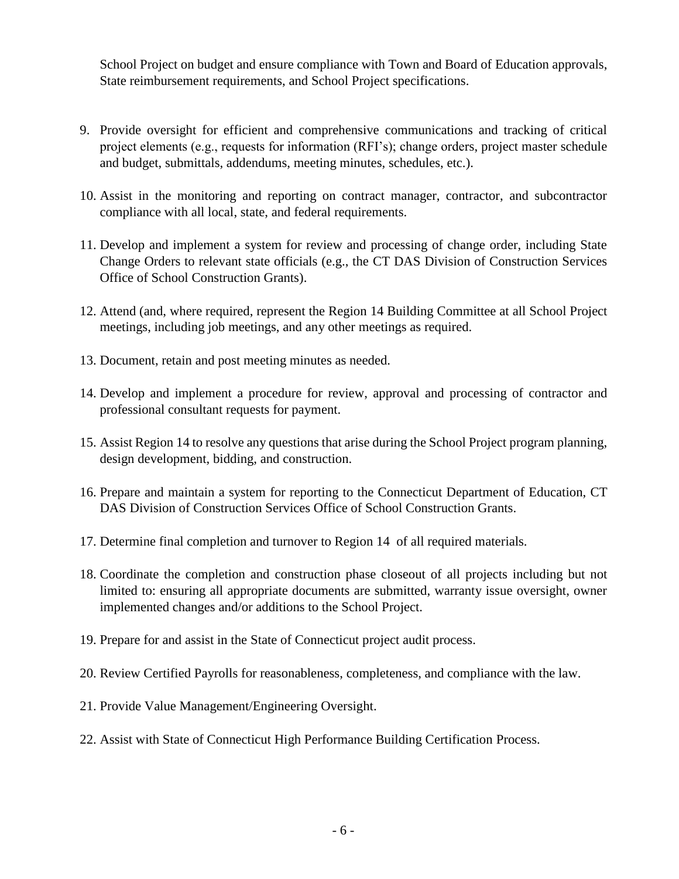School Project on budget and ensure compliance with Town and Board of Education approvals, State reimbursement requirements, and School Project specifications.

- 9. Provide oversight for efficient and comprehensive communications and tracking of critical project elements (e.g., requests for information (RFI's); change orders, project master schedule and budget, submittals, addendums, meeting minutes, schedules, etc.).
- 10. Assist in the monitoring and reporting on contract manager, contractor, and subcontractor compliance with all local, state, and federal requirements.
- 11. Develop and implement a system for review and processing of change order, including State Change Orders to relevant state officials (e.g., the CT DAS Division of Construction Services Office of School Construction Grants).
- 12. Attend (and, where required, represent the Region 14 Building Committee at all School Project meetings, including job meetings, and any other meetings as required.
- 13. Document, retain and post meeting minutes as needed.
- 14. Develop and implement a procedure for review, approval and processing of contractor and professional consultant requests for payment.
- 15. Assist Region 14 to resolve any questions that arise during the School Project program planning, design development, bidding, and construction.
- 16. Prepare and maintain a system for reporting to the Connecticut Department of Education, CT DAS Division of Construction Services Office of School Construction Grants.
- 17. Determine final completion and turnover to Region 14 of all required materials.
- 18. Coordinate the completion and construction phase closeout of all projects including but not limited to: ensuring all appropriate documents are submitted, warranty issue oversight, owner implemented changes and/or additions to the School Project.
- 19. Prepare for and assist in the State of Connecticut project audit process.
- 20. Review Certified Payrolls for reasonableness, completeness, and compliance with the law.
- 21. Provide Value Management/Engineering Oversight.
- 22. Assist with State of Connecticut High Performance Building Certification Process.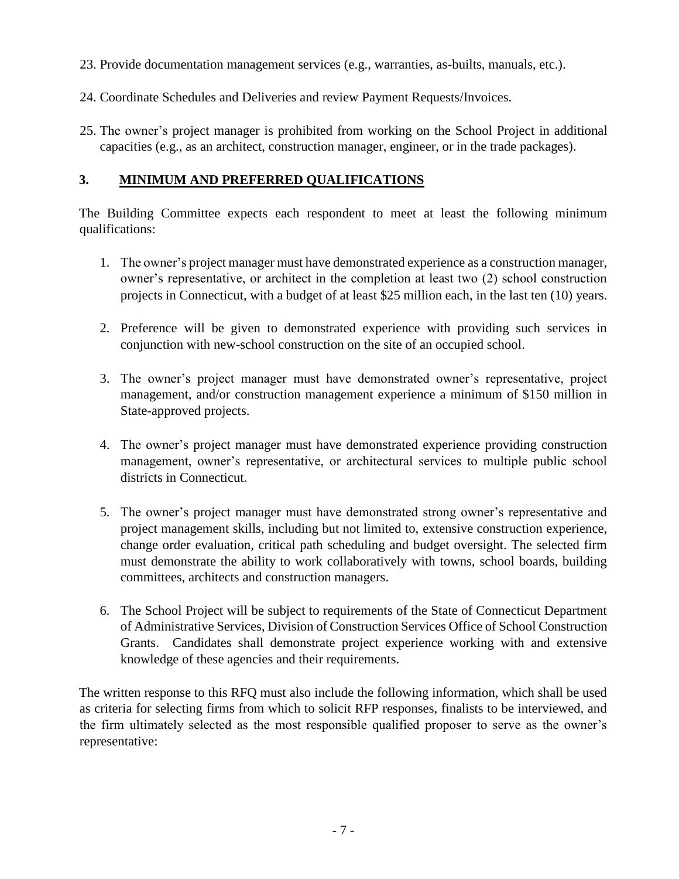- 23. Provide documentation management services (e.g., warranties, as-builts, manuals, etc.).
- 24. Coordinate Schedules and Deliveries and review Payment Requests/Invoices.
- 25. The owner's project manager is prohibited from working on the School Project in additional capacities (e.g., as an architect, construction manager, engineer, or in the trade packages).

#### **3. MINIMUM AND PREFERRED QUALIFICATIONS**

The Building Committee expects each respondent to meet at least the following minimum qualifications:

- 1. The owner's project manager must have demonstrated experience as a construction manager, owner's representative, or architect in the completion at least two (2) school construction projects in Connecticut, with a budget of at least \$25 million each, in the last ten (10) years.
- 2. Preference will be given to demonstrated experience with providing such services in conjunction with new-school construction on the site of an occupied school.
- 3. The owner's project manager must have demonstrated owner's representative, project management, and/or construction management experience a minimum of \$150 million in State-approved projects.
- 4. The owner's project manager must have demonstrated experience providing construction management, owner's representative, or architectural services to multiple public school districts in Connecticut.
- 5. The owner's project manager must have demonstrated strong owner's representative and project management skills, including but not limited to, extensive construction experience, change order evaluation, critical path scheduling and budget oversight. The selected firm must demonstrate the ability to work collaboratively with towns, school boards, building committees, architects and construction managers.
- 6. The School Project will be subject to requirements of the State of Connecticut Department of Administrative Services, Division of Construction Services Office of School Construction Grants. Candidates shall demonstrate project experience working with and extensive knowledge of these agencies and their requirements.

The written response to this RFQ must also include the following information, which shall be used as criteria for selecting firms from which to solicit RFP responses, finalists to be interviewed, and the firm ultimately selected as the most responsible qualified proposer to serve as the owner's representative: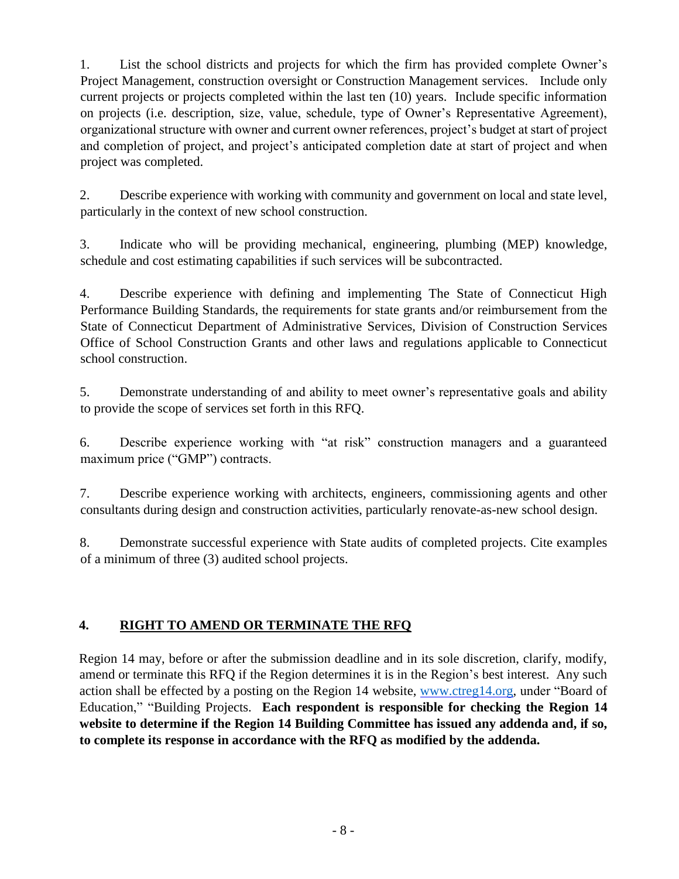1. List the school districts and projects for which the firm has provided complete Owner's Project Management, construction oversight or Construction Management services. Include only current projects or projects completed within the last ten (10) years. Include specific information on projects (i.e. description, size, value, schedule, type of Owner's Representative Agreement), organizational structure with owner and current owner references, project's budget at start of project and completion of project, and project's anticipated completion date at start of project and when project was completed.

2. Describe experience with working with community and government on local and state level, particularly in the context of new school construction.

3. Indicate who will be providing mechanical, engineering, plumbing (MEP) knowledge, schedule and cost estimating capabilities if such services will be subcontracted.

4. Describe experience with defining and implementing The State of Connecticut High Performance Building Standards, the requirements for state grants and/or reimbursement from the State of Connecticut Department of Administrative Services, Division of Construction Services Office of School Construction Grants and other laws and regulations applicable to Connecticut school construction.

5. Demonstrate understanding of and ability to meet owner's representative goals and ability to provide the scope of services set forth in this RFQ.

6. Describe experience working with "at risk" construction managers and a guaranteed maximum price ("GMP") contracts.

7. Describe experience working with architects, engineers, commissioning agents and other consultants during design and construction activities, particularly renovate-as-new school design.

8. Demonstrate successful experience with State audits of completed projects. Cite examples of a minimum of three (3) audited school projects.

## **4. RIGHT TO AMEND OR TERMINATE THE RFQ**

Region 14 may, before or after the submission deadline and in its sole discretion, clarify, modify, amend or terminate this RFQ if the Region determines it is in the Region's best interest. Any such action shall be effected by a posting on the Region 14 website, [www.ctreg14.org,](http://www.ctreg14.org/) under "Board of Education," "Building Projects. **Each respondent is responsible for checking the Region 14 website to determine if the Region 14 Building Committee has issued any addenda and, if so, to complete its response in accordance with the RFQ as modified by the addenda.**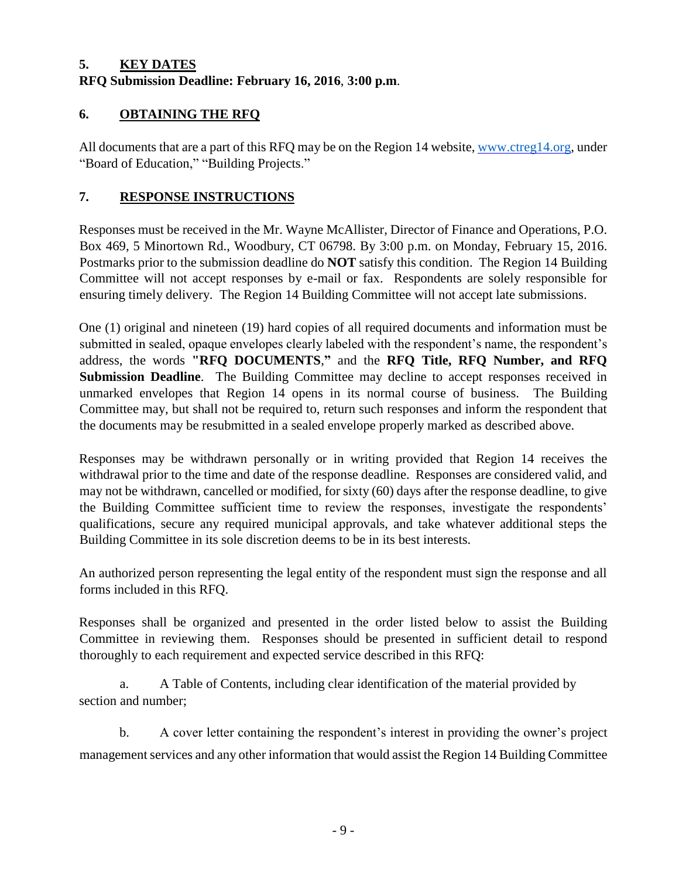#### **5. KEY DATES RFQ Submission Deadline: February 16, 2016**, **3:00 p.m**.

## **6. OBTAINING THE RFQ**

All documents that are a part of this RFQ may be on the Region 14 website, [www.ctreg14.org,](http://www.ctreg14.org/) under "Board of Education," "Building Projects."

## **7. RESPONSE INSTRUCTIONS**

Responses must be received in the Mr. Wayne McAllister, Director of Finance and Operations, P.O. Box 469, 5 Minortown Rd., Woodbury, CT 06798. By 3:00 p.m. on Monday, February 15, 2016. Postmarks prior to the submission deadline do **NOT** satisfy this condition. The Region 14 Building Committee will not accept responses by e-mail or fax. Respondents are solely responsible for ensuring timely delivery. The Region 14 Building Committee will not accept late submissions.

One (1) original and nineteen (19) hard copies of all required documents and information must be submitted in sealed, opaque envelopes clearly labeled with the respondent's name, the respondent's address, the words **"RFQ DOCUMENTS**,**"** and the **RFQ Title, RFQ Number, and RFQ Submission Deadline**. The Building Committee may decline to accept responses received in unmarked envelopes that Region 14 opens in its normal course of business. The Building Committee may, but shall not be required to, return such responses and inform the respondent that the documents may be resubmitted in a sealed envelope properly marked as described above.

Responses may be withdrawn personally or in writing provided that Region 14 receives the withdrawal prior to the time and date of the response deadline. Responses are considered valid, and may not be withdrawn, cancelled or modified, for sixty (60) days after the response deadline, to give the Building Committee sufficient time to review the responses, investigate the respondents' qualifications, secure any required municipal approvals, and take whatever additional steps the Building Committee in its sole discretion deems to be in its best interests.

An authorized person representing the legal entity of the respondent must sign the response and all forms included in this RFQ.

Responses shall be organized and presented in the order listed below to assist the Building Committee in reviewing them. Responses should be presented in sufficient detail to respond thoroughly to each requirement and expected service described in this RFQ:

a. A Table of Contents, including clear identification of the material provided by section and number;

b. A cover letter containing the respondent's interest in providing the owner's project management services and any other information that would assist the Region 14 Building Committee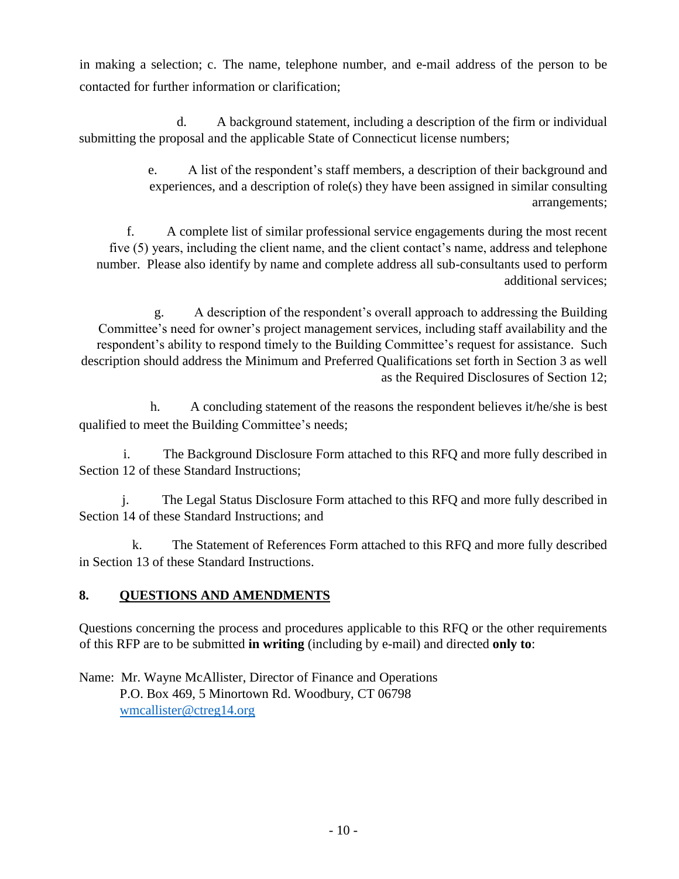in making a selection; c. The name, telephone number, and e-mail address of the person to be contacted for further information or clarification;

d. A background statement, including a description of the firm or individual submitting the proposal and the applicable State of Connecticut license numbers;

> e. A list of the respondent's staff members, a description of their background and experiences, and a description of role(s) they have been assigned in similar consulting arrangements;

f. A complete list of similar professional service engagements during the most recent five (5) years, including the client name, and the client contact's name, address and telephone number. Please also identify by name and complete address all sub-consultants used to perform additional services;

g. A description of the respondent's overall approach to addressing the Building Committee's need for owner's project management services, including staff availability and the respondent's ability to respond timely to the Building Committee's request for assistance. Such description should address the Minimum and Preferred Qualifications set forth in Section 3 as well as the Required Disclosures of Section 12;

h. A concluding statement of the reasons the respondent believes it/he/she is best qualified to meet the Building Committee's needs;

i. The Background Disclosure Form attached to this RFQ and more fully described in Section 12 of these Standard Instructions;

j. The Legal Status Disclosure Form attached to this RFQ and more fully described in Section 14 of these Standard Instructions; and

k. The Statement of References Form attached to this RFQ and more fully described in Section 13 of these Standard Instructions.

## **8. QUESTIONS AND AMENDMENTS**

Questions concerning the process and procedures applicable to this RFQ or the other requirements of this RFP are to be submitted **in writing** (including by e-mail) and directed **only to**:

Name: Mr. Wayne McAllister, Director of Finance and Operations P.O. Box 469, 5 Minortown Rd. Woodbury, CT 06798 [wmcallister@ctreg14.org](mailto:wmcallister@ctreg14.org)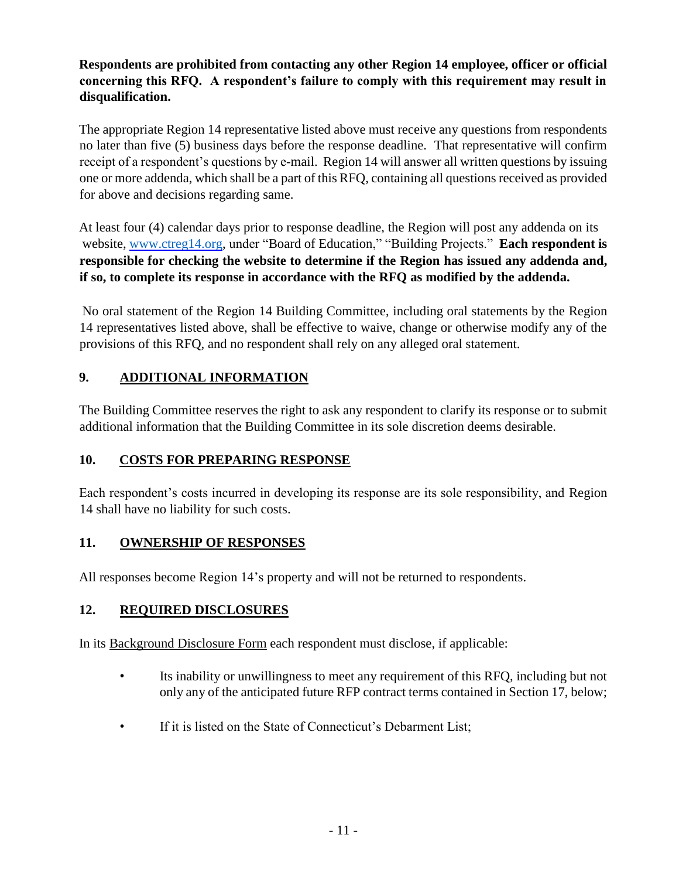### **Respondents are prohibited from contacting any other Region 14 employee, officer or official concerning this RFQ. A respondent's failure to comply with this requirement may result in disqualification.**

The appropriate Region 14 representative listed above must receive any questions from respondents no later than five (5) business days before the response deadline. That representative will confirm receipt of a respondent's questions by e-mail. Region 14 will answer all written questions by issuing one or more addenda, which shall be a part of this RFQ, containing all questions received as provided for above and decisions regarding same.

At least four (4) calendar days prior to response deadline, the Region will post any addenda on its website, [www.ctreg14.org,](http://www.ctreg14.org/) under "Board of Education," "Building Projects." **Each respondent is responsible for checking the website to determine if the Region has issued any addenda and, if so, to complete its response in accordance with the RFQ as modified by the addenda.**

No oral statement of the Region 14 Building Committee, including oral statements by the Region 14 representatives listed above, shall be effective to waive, change or otherwise modify any of the provisions of this RFQ, and no respondent shall rely on any alleged oral statement.

## **9. ADDITIONAL INFORMATION**

The Building Committee reserves the right to ask any respondent to clarify its response or to submit additional information that the Building Committee in its sole discretion deems desirable.

## **10. COSTS FOR PREPARING RESPONSE**

Each respondent's costs incurred in developing its response are its sole responsibility, and Region 14 shall have no liability for such costs.

## **11. OWNERSHIP OF RESPONSES**

All responses become Region 14's property and will not be returned to respondents.

## **12. REQUIRED DISCLOSURES**

In its Background Disclosure Form each respondent must disclose, if applicable:

- Its inability or unwillingness to meet any requirement of this RFQ, including but not only any of the anticipated future RFP contract terms contained in Section 17, below;
- If it is listed on the State of Connecticut's Debarment List;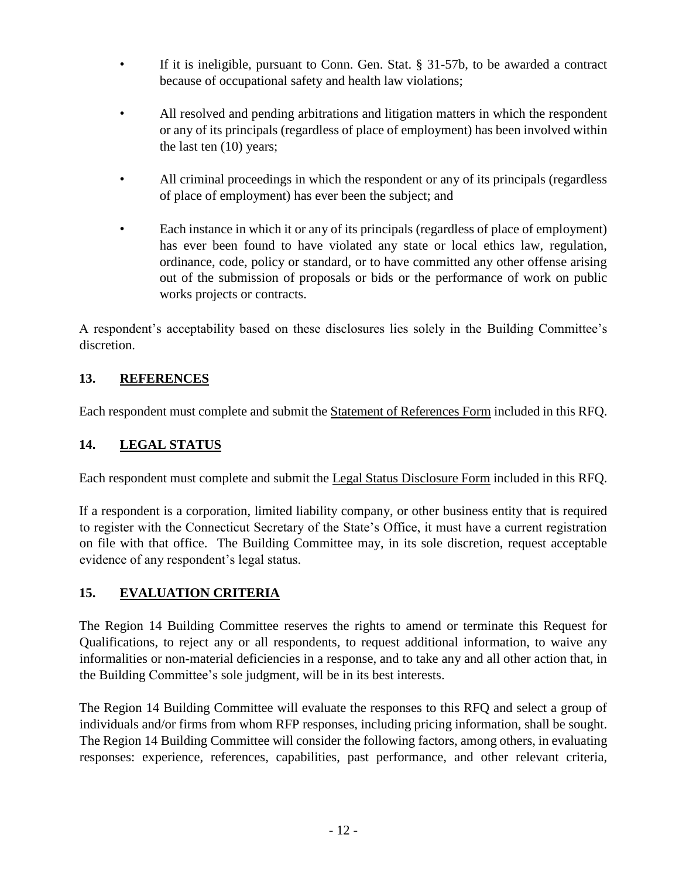- If it is ineligible, pursuant to Conn. Gen. Stat. § 31-57b, to be awarded a contract because of occupational safety and health law violations;
- All resolved and pending arbitrations and litigation matters in which the respondent or any of its principals (regardless of place of employment) has been involved within the last ten (10) years;
- All criminal proceedings in which the respondent or any of its principals (regardless of place of employment) has ever been the subject; and
- Each instance in which it or any of its principals (regardless of place of employment) has ever been found to have violated any state or local ethics law, regulation, ordinance, code, policy or standard, or to have committed any other offense arising out of the submission of proposals or bids or the performance of work on public works projects or contracts.

A respondent's acceptability based on these disclosures lies solely in the Building Committee's discretion.

## **13. REFERENCES**

Each respondent must complete and submit the Statement of References Form included in this RFQ.

## **14. LEGAL STATUS**

Each respondent must complete and submit the Legal Status Disclosure Form included in this RFQ.

If a respondent is a corporation, limited liability company, or other business entity that is required to register with the Connecticut Secretary of the State's Office, it must have a current registration on file with that office. The Building Committee may, in its sole discretion, request acceptable evidence of any respondent's legal status.

## **15. EVALUATION CRITERIA**

The Region 14 Building Committee reserves the rights to amend or terminate this Request for Qualifications, to reject any or all respondents, to request additional information, to waive any informalities or non-material deficiencies in a response, and to take any and all other action that, in the Building Committee's sole judgment, will be in its best interests.

The Region 14 Building Committee will evaluate the responses to this RFQ and select a group of individuals and/or firms from whom RFP responses, including pricing information, shall be sought. The Region 14 Building Committee will consider the following factors, among others, in evaluating responses: experience, references, capabilities, past performance, and other relevant criteria,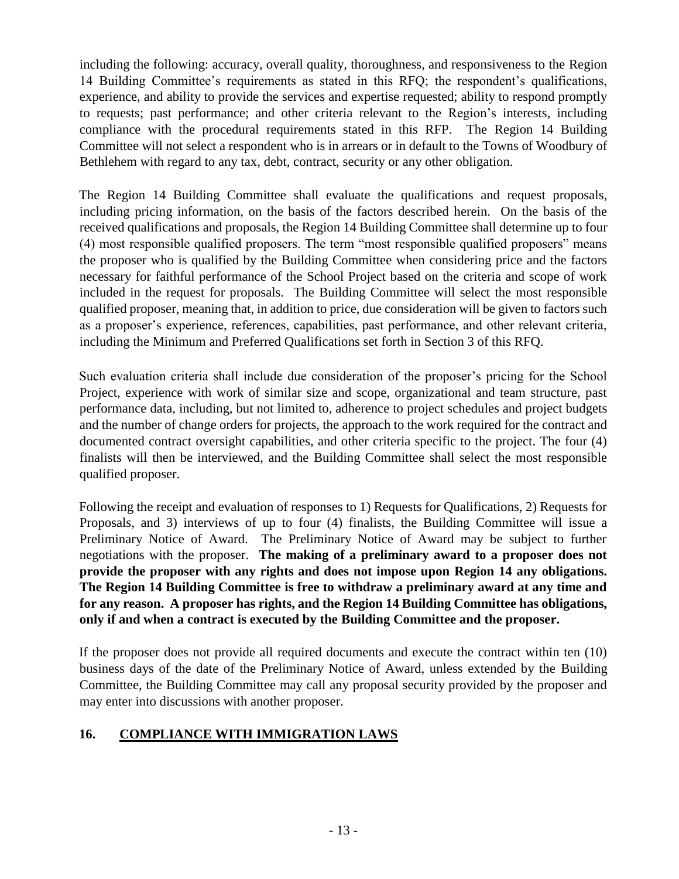including the following: accuracy, overall quality, thoroughness, and responsiveness to the Region 14 Building Committee's requirements as stated in this RFQ; the respondent's qualifications, experience, and ability to provide the services and expertise requested; ability to respond promptly to requests; past performance; and other criteria relevant to the Region's interests, including compliance with the procedural requirements stated in this RFP. The Region 14 Building Committee will not select a respondent who is in arrears or in default to the Towns of Woodbury of Bethlehem with regard to any tax, debt, contract, security or any other obligation.

The Region 14 Building Committee shall evaluate the qualifications and request proposals, including pricing information, on the basis of the factors described herein. On the basis of the received qualifications and proposals, the Region 14 Building Committee shall determine up to four (4) most responsible qualified proposers. The term "most responsible qualified proposers" means the proposer who is qualified by the Building Committee when considering price and the factors necessary for faithful performance of the School Project based on the criteria and scope of work included in the request for proposals. The Building Committee will select the most responsible qualified proposer, meaning that, in addition to price, due consideration will be given to factors such as a proposer's experience, references, capabilities, past performance, and other relevant criteria, including the Minimum and Preferred Qualifications set forth in Section 3 of this RFQ.

Such evaluation criteria shall include due consideration of the proposer's pricing for the School Project, experience with work of similar size and scope, organizational and team structure, past performance data, including, but not limited to, adherence to project schedules and project budgets and the number of change orders for projects, the approach to the work required for the contract and documented contract oversight capabilities, and other criteria specific to the project. The four (4) finalists will then be interviewed, and the Building Committee shall select the most responsible qualified proposer.

Following the receipt and evaluation of responses to 1) Requests for Qualifications, 2) Requests for Proposals, and 3) interviews of up to four (4) finalists, the Building Committee will issue a Preliminary Notice of Award. The Preliminary Notice of Award may be subject to further negotiations with the proposer. **The making of a preliminary award to a proposer does not provide the proposer with any rights and does not impose upon Region 14 any obligations. The Region 14 Building Committee is free to withdraw a preliminary award at any time and for any reason. A proposer has rights, and the Region 14 Building Committee has obligations, only if and when a contract is executed by the Building Committee and the proposer.**

If the proposer does not provide all required documents and execute the contract within ten (10) business days of the date of the Preliminary Notice of Award, unless extended by the Building Committee, the Building Committee may call any proposal security provided by the proposer and may enter into discussions with another proposer.

#### **16. COMPLIANCE WITH IMMIGRATION LAWS**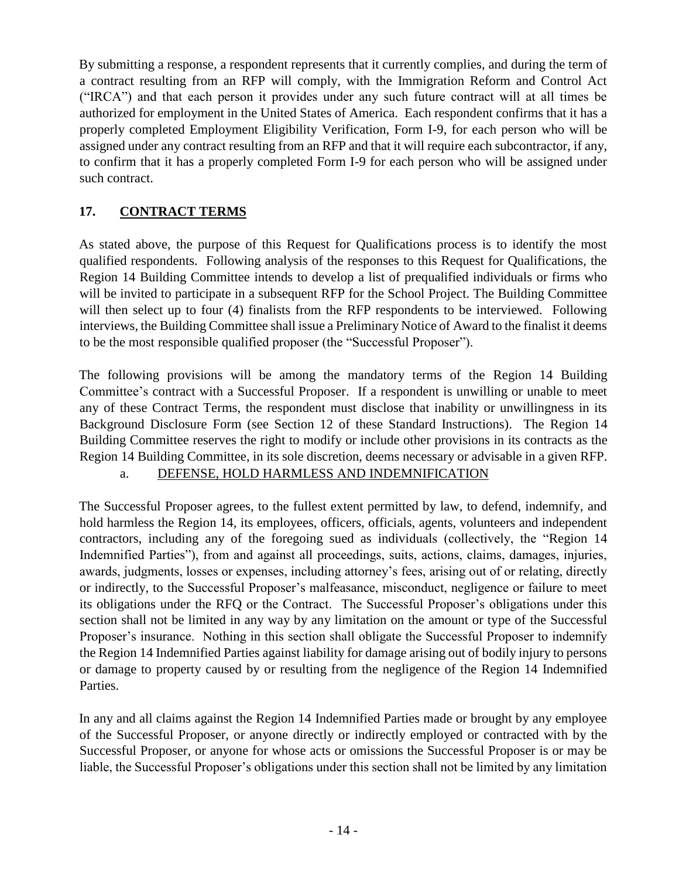By submitting a response, a respondent represents that it currently complies, and during the term of a contract resulting from an RFP will comply, with the Immigration Reform and Control Act ("IRCA") and that each person it provides under any such future contract will at all times be authorized for employment in the United States of America. Each respondent confirms that it has a properly completed Employment Eligibility Verification, Form I-9, for each person who will be assigned under any contract resulting from an RFP and that it will require each subcontractor, if any, to confirm that it has a properly completed Form I-9 for each person who will be assigned under such contract.

## **17. CONTRACT TERMS**

As stated above, the purpose of this Request for Qualifications process is to identify the most qualified respondents. Following analysis of the responses to this Request for Qualifications, the Region 14 Building Committee intends to develop a list of prequalified individuals or firms who will be invited to participate in a subsequent RFP for the School Project. The Building Committee will then select up to four (4) finalists from the RFP respondents to be interviewed. Following interviews, the Building Committee shall issue a Preliminary Notice of Award to the finalist it deems to be the most responsible qualified proposer (the "Successful Proposer").

The following provisions will be among the mandatory terms of the Region 14 Building Committee's contract with a Successful Proposer. If a respondent is unwilling or unable to meet any of these Contract Terms, the respondent must disclose that inability or unwillingness in its Background Disclosure Form (see Section 12 of these Standard Instructions). The Region 14 Building Committee reserves the right to modify or include other provisions in its contracts as the Region 14 Building Committee, in its sole discretion, deems necessary or advisable in a given RFP. a. DEFENSE, HOLD HARMLESS AND INDEMNIFICATION

The Successful Proposer agrees, to the fullest extent permitted by law, to defend, indemnify, and hold harmless the Region 14, its employees, officers, officials, agents, volunteers and independent contractors, including any of the foregoing sued as individuals (collectively, the "Region 14 Indemnified Parties"), from and against all proceedings, suits, actions, claims, damages, injuries, awards, judgments, losses or expenses, including attorney's fees, arising out of or relating, directly or indirectly, to the Successful Proposer's malfeasance, misconduct, negligence or failure to meet its obligations under the RFQ or the Contract. The Successful Proposer's obligations under this section shall not be limited in any way by any limitation on the amount or type of the Successful Proposer's insurance. Nothing in this section shall obligate the Successful Proposer to indemnify the Region 14 Indemnified Parties against liability for damage arising out of bodily injury to persons or damage to property caused by or resulting from the negligence of the Region 14 Indemnified Parties.

In any and all claims against the Region 14 Indemnified Parties made or brought by any employee of the Successful Proposer, or anyone directly or indirectly employed or contracted with by the Successful Proposer, or anyone for whose acts or omissions the Successful Proposer is or may be liable, the Successful Proposer's obligations under this section shall not be limited by any limitation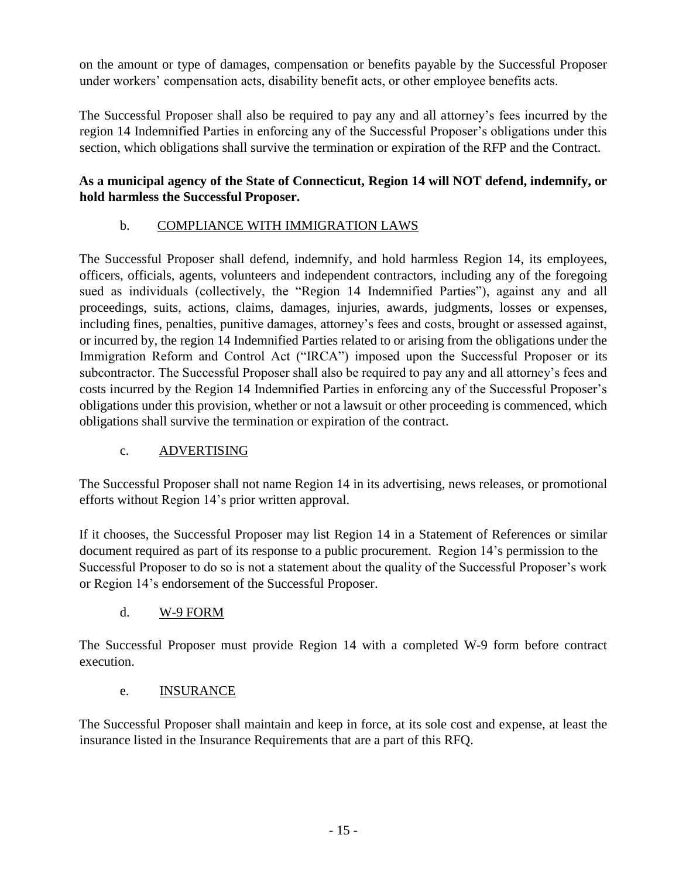on the amount or type of damages, compensation or benefits payable by the Successful Proposer under workers' compensation acts, disability benefit acts, or other employee benefits acts.

The Successful Proposer shall also be required to pay any and all attorney's fees incurred by the region 14 Indemnified Parties in enforcing any of the Successful Proposer's obligations under this section, which obligations shall survive the termination or expiration of the RFP and the Contract.

#### **As a municipal agency of the State of Connecticut, Region 14 will NOT defend, indemnify, or hold harmless the Successful Proposer.**

## b. COMPLIANCE WITH IMMIGRATION LAWS

The Successful Proposer shall defend, indemnify, and hold harmless Region 14, its employees, officers, officials, agents, volunteers and independent contractors, including any of the foregoing sued as individuals (collectively, the "Region 14 Indemnified Parties"), against any and all proceedings, suits, actions, claims, damages, injuries, awards, judgments, losses or expenses, including fines, penalties, punitive damages, attorney's fees and costs, brought or assessed against, or incurred by, the region 14 Indemnified Parties related to or arising from the obligations under the Immigration Reform and Control Act ("IRCA") imposed upon the Successful Proposer or its subcontractor. The Successful Proposer shall also be required to pay any and all attorney's fees and costs incurred by the Region 14 Indemnified Parties in enforcing any of the Successful Proposer's obligations under this provision, whether or not a lawsuit or other proceeding is commenced, which obligations shall survive the termination or expiration of the contract.

## c. ADVERTISING

The Successful Proposer shall not name Region 14 in its advertising, news releases, or promotional efforts without Region 14's prior written approval.

If it chooses, the Successful Proposer may list Region 14 in a Statement of References or similar document required as part of its response to a public procurement. Region 14's permission to the Successful Proposer to do so is not a statement about the quality of the Successful Proposer's work or Region 14's endorsement of the Successful Proposer.

## d. W-9 FORM

The Successful Proposer must provide Region 14 with a completed W-9 form before contract execution.

## e. INSURANCE

The Successful Proposer shall maintain and keep in force, at its sole cost and expense, at least the insurance listed in the Insurance Requirements that are a part of this RFQ.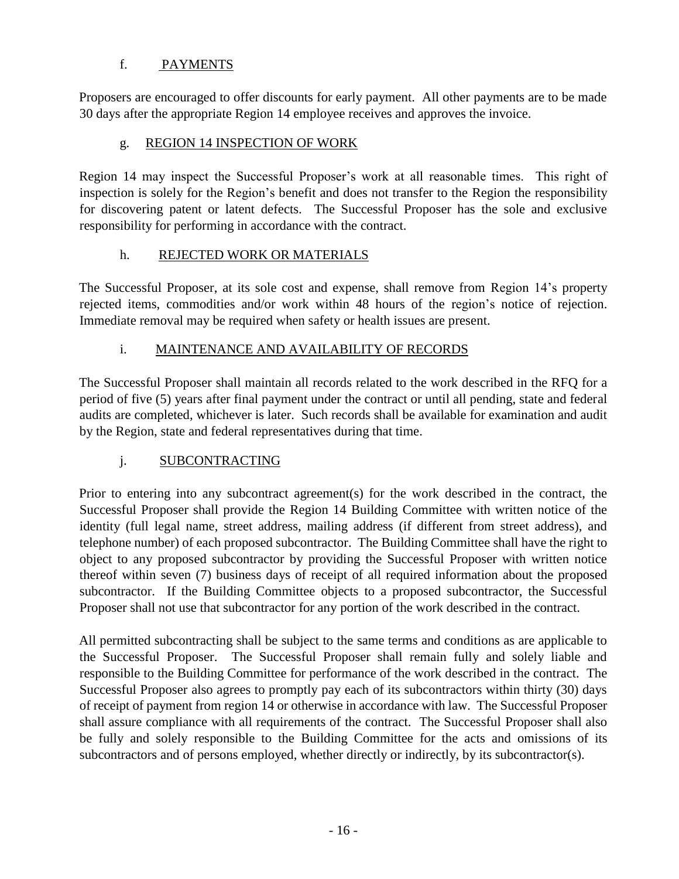## f. PAYMENTS

Proposers are encouraged to offer discounts for early payment. All other payments are to be made 30 days after the appropriate Region 14 employee receives and approves the invoice.

### g. REGION 14 INSPECTION OF WORK

Region 14 may inspect the Successful Proposer's work at all reasonable times. This right of inspection is solely for the Region's benefit and does not transfer to the Region the responsibility for discovering patent or latent defects. The Successful Proposer has the sole and exclusive responsibility for performing in accordance with the contract.

#### h. REJECTED WORK OR MATERIALS

The Successful Proposer, at its sole cost and expense, shall remove from Region 14's property rejected items, commodities and/or work within 48 hours of the region's notice of rejection. Immediate removal may be required when safety or health issues are present.

#### i. MAINTENANCE AND AVAILABILITY OF RECORDS

The Successful Proposer shall maintain all records related to the work described in the RFQ for a period of five (5) years after final payment under the contract or until all pending, state and federal audits are completed, whichever is later. Such records shall be available for examination and audit by the Region, state and federal representatives during that time.

## j. SUBCONTRACTING

Prior to entering into any subcontract agreement(s) for the work described in the contract, the Successful Proposer shall provide the Region 14 Building Committee with written notice of the identity (full legal name, street address, mailing address (if different from street address), and telephone number) of each proposed subcontractor. The Building Committee shall have the right to object to any proposed subcontractor by providing the Successful Proposer with written notice thereof within seven (7) business days of receipt of all required information about the proposed subcontractor. If the Building Committee objects to a proposed subcontractor, the Successful Proposer shall not use that subcontractor for any portion of the work described in the contract.

All permitted subcontracting shall be subject to the same terms and conditions as are applicable to the Successful Proposer. The Successful Proposer shall remain fully and solely liable and responsible to the Building Committee for performance of the work described in the contract. The Successful Proposer also agrees to promptly pay each of its subcontractors within thirty (30) days of receipt of payment from region 14 or otherwise in accordance with law. The Successful Proposer shall assure compliance with all requirements of the contract. The Successful Proposer shall also be fully and solely responsible to the Building Committee for the acts and omissions of its subcontractors and of persons employed, whether directly or indirectly, by its subcontractor(s).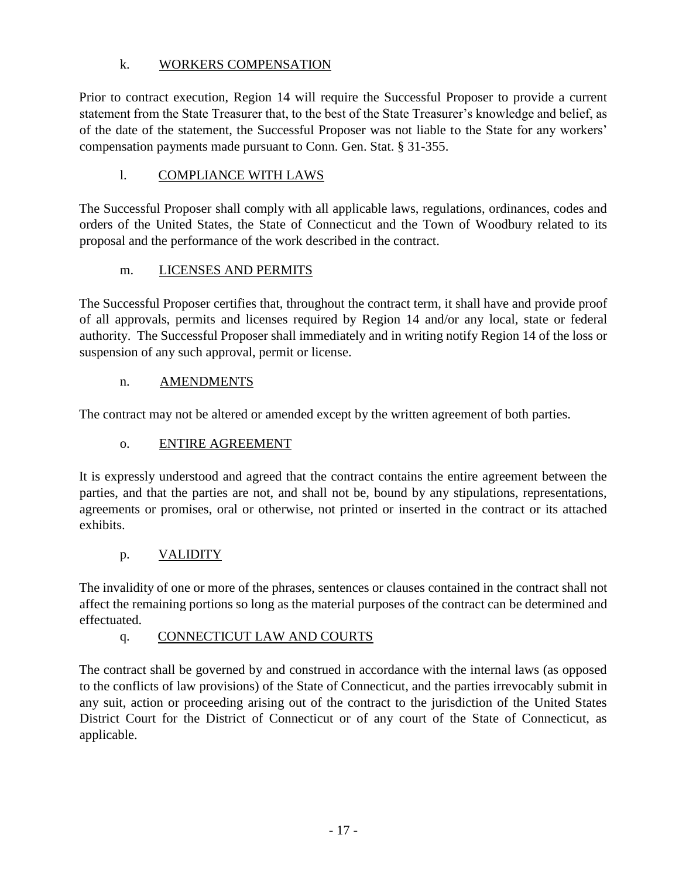## k. WORKERS COMPENSATION

Prior to contract execution, Region 14 will require the Successful Proposer to provide a current statement from the State Treasurer that, to the best of the State Treasurer's knowledge and belief, as of the date of the statement, the Successful Proposer was not liable to the State for any workers' compensation payments made pursuant to Conn. Gen. Stat. § 31-355.

## l. COMPLIANCE WITH LAWS

The Successful Proposer shall comply with all applicable laws, regulations, ordinances, codes and orders of the United States, the State of Connecticut and the Town of Woodbury related to its proposal and the performance of the work described in the contract.

## m. LICENSES AND PERMITS

The Successful Proposer certifies that, throughout the contract term, it shall have and provide proof of all approvals, permits and licenses required by Region 14 and/or any local, state or federal authority. The Successful Proposer shall immediately and in writing notify Region 14 of the loss or suspension of any such approval, permit or license.

## n. AMENDMENTS

The contract may not be altered or amended except by the written agreement of both parties.

## o. ENTIRE AGREEMENT

It is expressly understood and agreed that the contract contains the entire agreement between the parties, and that the parties are not, and shall not be, bound by any stipulations, representations, agreements or promises, oral or otherwise, not printed or inserted in the contract or its attached exhibits.

## p. VALIDITY

The invalidity of one or more of the phrases, sentences or clauses contained in the contract shall not affect the remaining portions so long as the material purposes of the contract can be determined and effectuated.

## q. CONNECTICUT LAW AND COURTS

The contract shall be governed by and construed in accordance with the internal laws (as opposed to the conflicts of law provisions) of the State of Connecticut, and the parties irrevocably submit in any suit, action or proceeding arising out of the contract to the jurisdiction of the United States District Court for the District of Connecticut or of any court of the State of Connecticut, as applicable.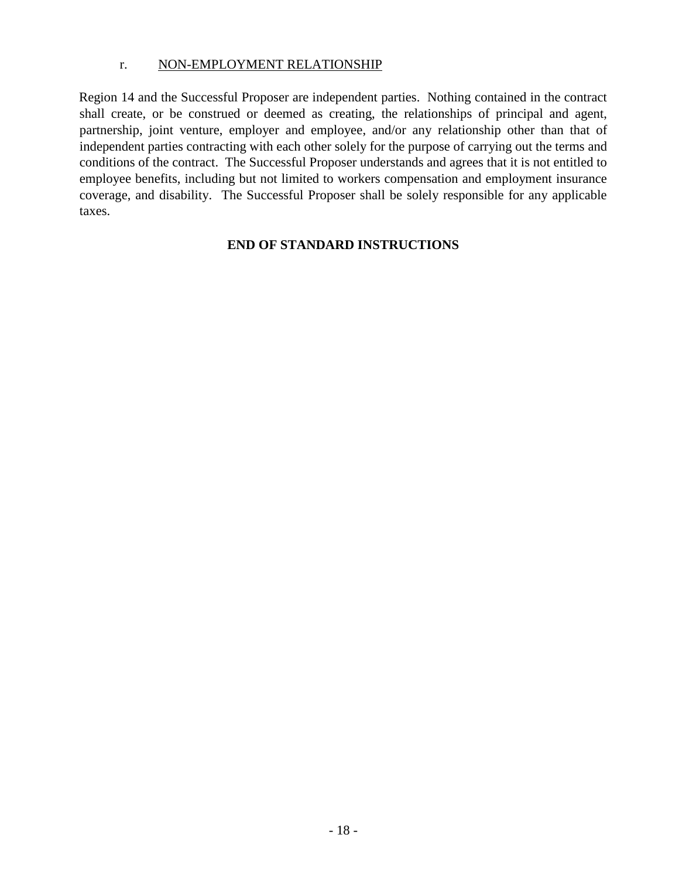#### r. NON-EMPLOYMENT RELATIONSHIP

Region 14 and the Successful Proposer are independent parties. Nothing contained in the contract shall create, or be construed or deemed as creating, the relationships of principal and agent, partnership, joint venture, employer and employee, and/or any relationship other than that of independent parties contracting with each other solely for the purpose of carrying out the terms and conditions of the contract. The Successful Proposer understands and agrees that it is not entitled to employee benefits, including but not limited to workers compensation and employment insurance coverage, and disability. The Successful Proposer shall be solely responsible for any applicable taxes.

#### **END OF STANDARD INSTRUCTIONS**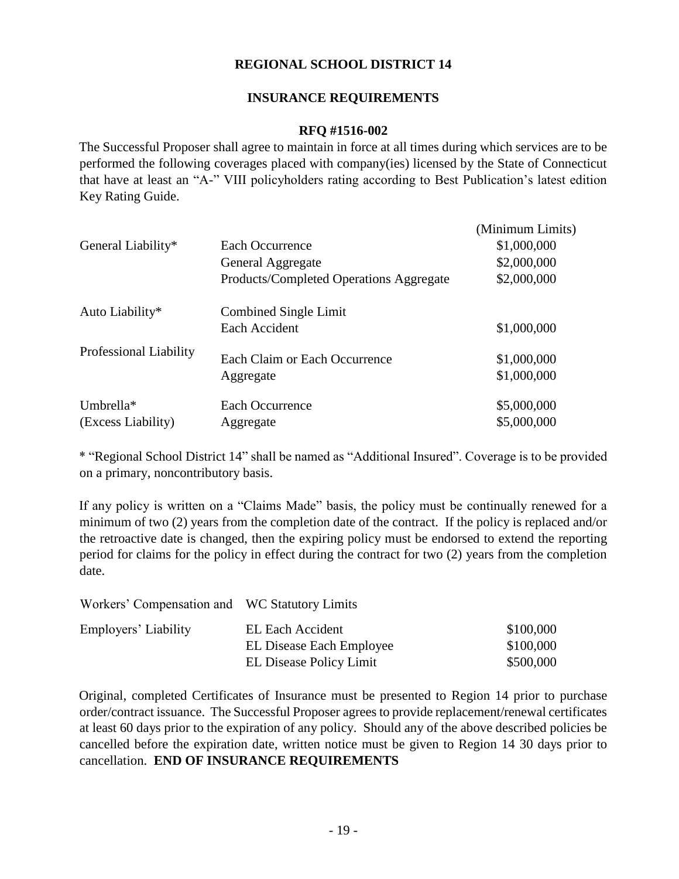#### **REGIONAL SCHOOL DISTRICT 14**

#### **INSURANCE REQUIREMENTS**

#### **RFQ #1516-002**

The Successful Proposer shall agree to maintain in force at all times during which services are to be performed the following coverages placed with company(ies) licensed by the State of Connecticut that have at least an "A-" VIII policyholders rating according to Best Publication's latest edition Key Rating Guide.

| General Liability*              | Each Occurrence<br>General Aggregate<br>Products/Completed Operations Aggregate | (Minimum Limits)<br>\$1,000,000<br>\$2,000,000<br>\$2,000,000 |
|---------------------------------|---------------------------------------------------------------------------------|---------------------------------------------------------------|
| Auto Liability*                 | Combined Single Limit<br>Each Accident                                          | \$1,000,000                                                   |
| Professional Liability          | Each Claim or Each Occurrence<br>Aggregate                                      | \$1,000,000<br>\$1,000,000                                    |
| Umbrella*<br>(Excess Liability) | Each Occurrence<br>Aggregate                                                    | \$5,000,000<br>\$5,000,000                                    |

\* "Regional School District 14" shall be named as "Additional Insured". Coverage is to be provided on a primary, noncontributory basis.

If any policy is written on a "Claims Made" basis, the policy must be continually renewed for a minimum of two (2) years from the completion date of the contract. If the policy is replaced and/or the retroactive date is changed, then the expiring policy must be endorsed to extend the reporting period for claims for the policy in effect during the contract for two (2) years from the completion date.

| Workers' Compensation and WC Statutory Limits |                          |           |
|-----------------------------------------------|--------------------------|-----------|
| Employers' Liability                          | EL Each Accident         | \$100,000 |
|                                               | EL Disease Each Employee | \$100,000 |
|                                               | EL Disease Policy Limit  | \$500,000 |

Original, completed Certificates of Insurance must be presented to Region 14 prior to purchase order/contract issuance. The Successful Proposer agrees to provide replacement/renewal certificates at least 60 days prior to the expiration of any policy. Should any of the above described policies be cancelled before the expiration date, written notice must be given to Region 14 30 days prior to cancellation. **END OF INSURANCE REQUIREMENTS**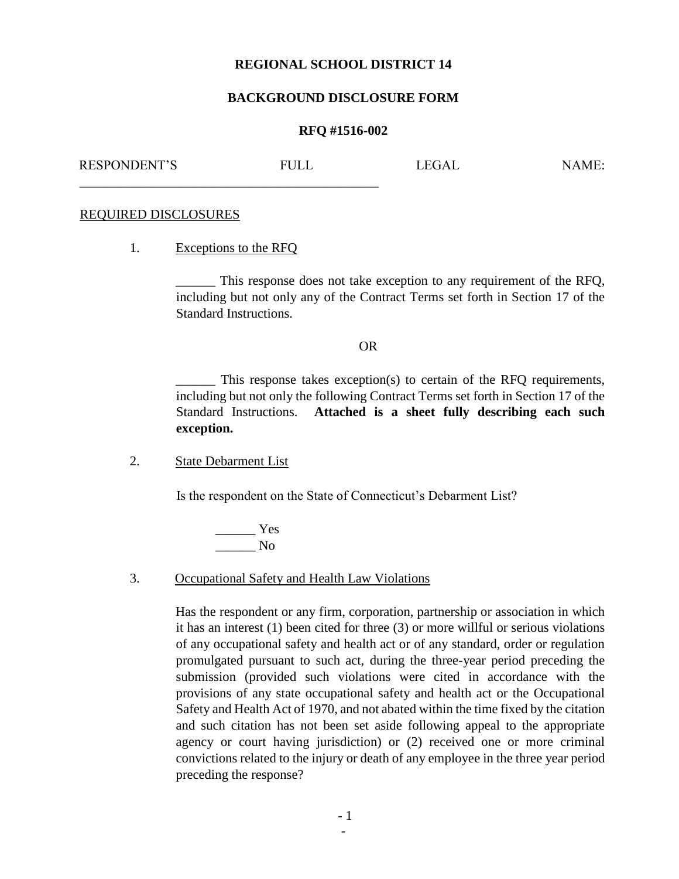#### **REGIONAL SCHOOL DISTRICT 14**

#### **BACKGROUND DISCLOSURE FORM**

#### **RFQ #1516-002**

RESPONDENT'S FULL LEGAL NAME:

#### REQUIRED DISCLOSURES

1. Exceptions to the RFQ

\_\_\_\_\_\_\_\_\_\_\_\_\_\_\_\_\_\_\_\_\_\_\_\_\_\_\_\_\_\_\_\_\_\_\_\_\_\_\_\_\_\_\_\_\_

\_\_\_\_\_\_ This response does not take exception to any requirement of the RFQ, including but not only any of the Contract Terms set forth in Section 17 of the Standard Instructions.

#### OR

This response takes exception(s) to certain of the RFQ requirements, including but not only the following Contract Terms set forth in Section 17 of the Standard Instructions. **Attached is a sheet fully describing each such exception.**

2. State Debarment List

Is the respondent on the State of Connecticut's Debarment List?

 $\frac{1}{\sqrt{1-\frac{1}{2}}\sqrt{1-\frac{1}{2}}\sqrt{1-\frac{1}{2}}\sqrt{1-\frac{1}{2}}\sqrt{1-\frac{1}{2}}\sqrt{1-\frac{1}{2}}\sqrt{1-\frac{1}{2}}\sqrt{1-\frac{1}{2}}\sqrt{1-\frac{1}{2}}\sqrt{1-\frac{1}{2}}\sqrt{1-\frac{1}{2}}\sqrt{1-\frac{1}{2}}\sqrt{1-\frac{1}{2}}\sqrt{1-\frac{1}{2}}\sqrt{1-\frac{1}{2}}\sqrt{1-\frac{1}{2}}\sqrt{1-\frac{1}{2}}\sqrt{1-\frac{1}{2}}\sqrt{1-\frac{1}{2}}\sqrt{1-\frac$  $\_\_$  No

#### 3. Occupational Safety and Health Law Violations

Has the respondent or any firm, corporation, partnership or association in which it has an interest (1) been cited for three (3) or more willful or serious violations of any occupational safety and health act or of any standard, order or regulation promulgated pursuant to such act, during the three-year period preceding the submission (provided such violations were cited in accordance with the provisions of any state occupational safety and health act or the Occupational Safety and Health Act of 1970, and not abated within the time fixed by the citation and such citation has not been set aside following appeal to the appropriate agency or court having jurisdiction) or (2) received one or more criminal convictions related to the injury or death of any employee in the three year period preceding the response?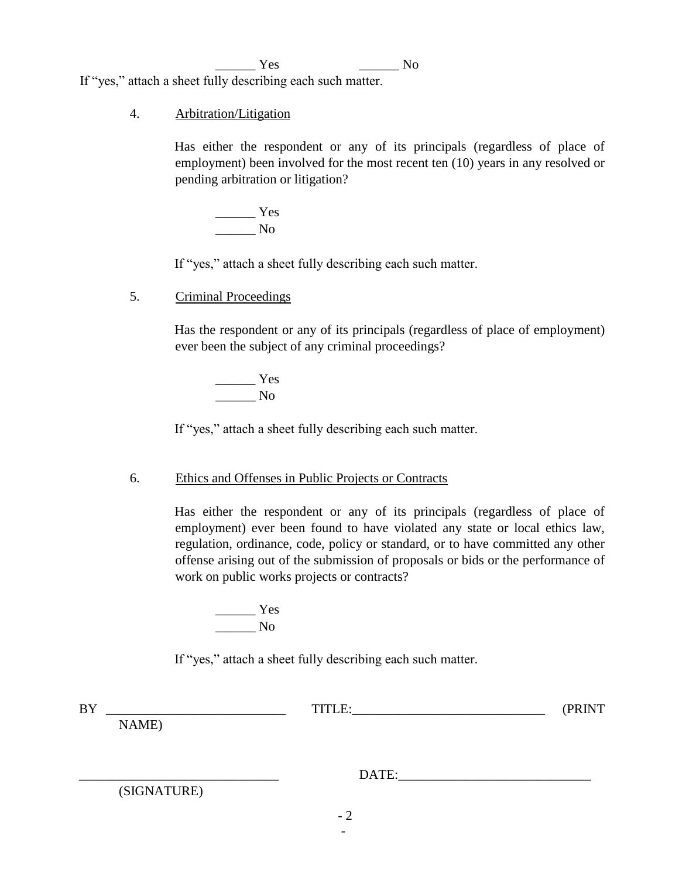\_\_\_\_\_\_ Yes \_\_\_\_\_\_ No If "yes," attach a sheet fully describing each such matter.

#### 4. Arbitration/Litigation

Has either the respondent or any of its principals (regardless of place of employment) been involved for the most recent ten (10) years in any resolved or pending arbitration or litigation?

 $\frac{1}{1}$  Yes  $\overline{\phantom{a}}$  No

If "yes," attach a sheet fully describing each such matter.

5. Criminal Proceedings

Has the respondent or any of its principals (regardless of place of employment) ever been the subject of any criminal proceedings?

 $\frac{1}{\sqrt{1-\frac{1}{2}}\cos \theta}$ \_\_\_\_\_\_ No

If "yes," attach a sheet fully describing each such matter.

#### 6. Ethics and Offenses in Public Projects or Contracts

Has either the respondent or any of its principals (regardless of place of employment) ever been found to have violated any state or local ethics law, regulation, ordinance, code, policy or standard, or to have committed any other offense arising out of the submission of proposals or bids or the performance of work on public works projects or contracts?

 $\frac{1}{1}$  Yes  $\_\_$  No

If "yes," attach a sheet fully describing each such matter.

| <b>BY</b> |             | TITLE: | (PRINT |
|-----------|-------------|--------|--------|
|           | NAME)       |        |        |
|           |             |        |        |
|           |             |        |        |
|           |             | DATE:  |        |
|           | (SIGNATURE) |        |        |
|           |             |        |        |

- 2 -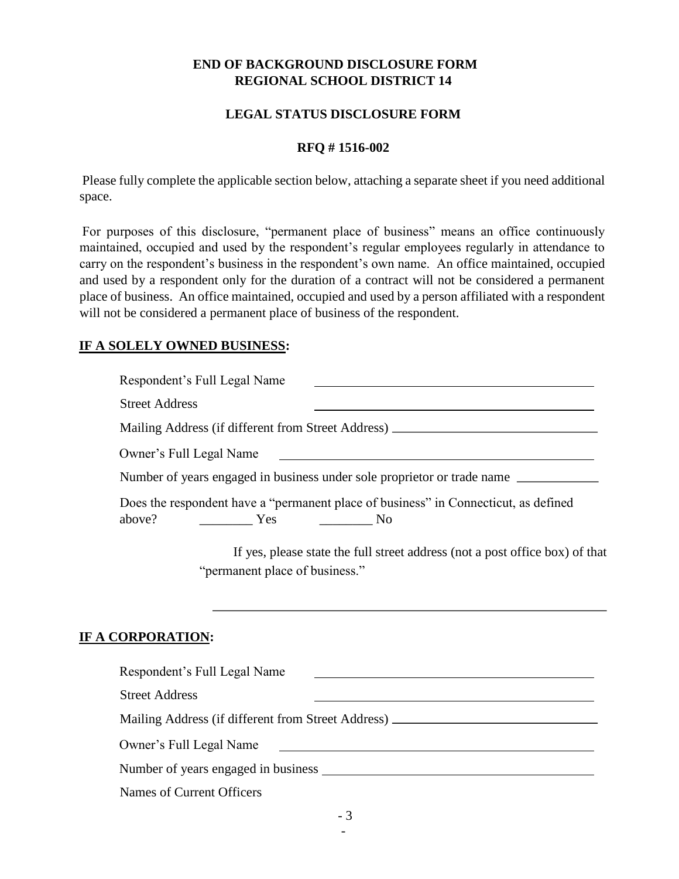#### **END OF BACKGROUND DISCLOSURE FORM REGIONAL SCHOOL DISTRICT 14**

#### **LEGAL STATUS DISCLOSURE FORM**

#### **RFQ # 1516-002**

Please fully complete the applicable section below, attaching a separate sheet if you need additional space.

For purposes of this disclosure, "permanent place of business" means an office continuously maintained, occupied and used by the respondent's regular employees regularly in attendance to carry on the respondent's business in the respondent's own name. An office maintained, occupied and used by a respondent only for the duration of a contract will not be considered a permanent place of business. An office maintained, occupied and used by a person affiliated with a respondent will not be considered a permanent place of business of the respondent.

#### **IF A SOLELY OWNED BUSINESS:**

| Respondent's Full Legal Name                                                                                                                    |
|-------------------------------------------------------------------------------------------------------------------------------------------------|
| <b>Street Address</b>                                                                                                                           |
| Mailing Address (if different from Street Address) _____________________________                                                                |
| Owner's Full Legal Name<br><u> 1980 - Jan Samuel Barbara, margaret e populari e populari e populari e populari e populari e populari e popu</u> |
| Number of years engaged in business under sole proprietor or trade name                                                                         |
| Does the respondent have a "permanent place of business" in Connecticut, as defined<br>above?<br>$\frac{1}{1}$ Yes $\frac{1}{1}$ No             |
| If yes, please state the full street address (not a post office box) of that<br>"permanent place of business."                                  |
|                                                                                                                                                 |
| IF A CORPORATION:                                                                                                                               |
| Respondent's Full Legal Name                                                                                                                    |
| $C_{\text{tmod}}$ $\Lambda$ ddnoso                                                                                                              |

Street Address Mailing Address (if different from Street Address) Owner's Full Legal Name Number of years engaged in business

Names of Current Officers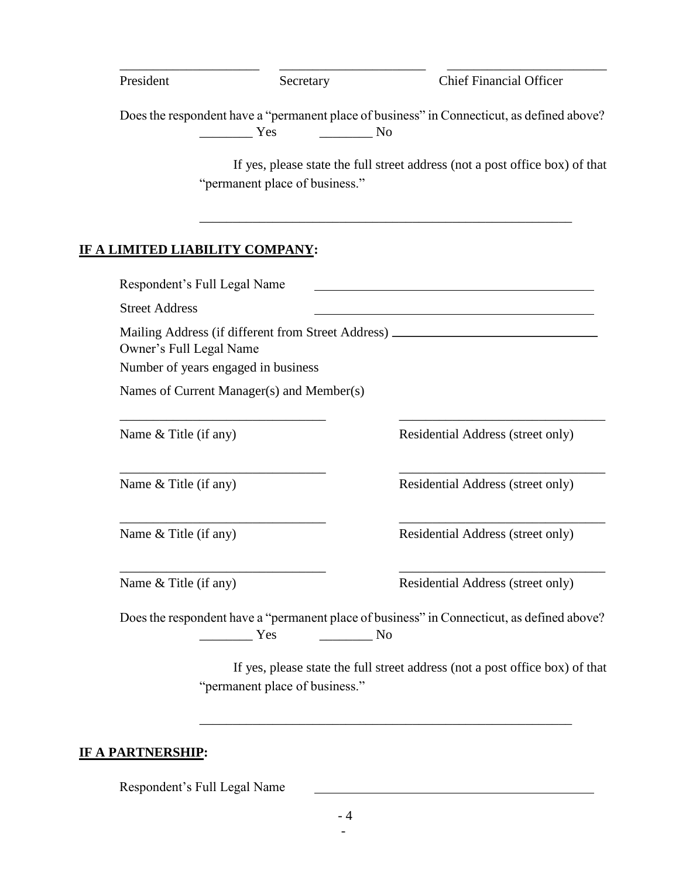| President             | Secretary                                                      | <b>Chief Financial Officer</b>                                                                   |
|-----------------------|----------------------------------------------------------------|--------------------------------------------------------------------------------------------------|
|                       | Yes                                                            | Does the respondent have a "permanent place of business" in Connecticut, as defined above?<br>No |
|                       | "permanent place of business."                                 | If yes, please state the full street address (not a post office box) of that                     |
|                       | LIMITED LIABILITY COMPANY:                                     |                                                                                                  |
|                       | Respondent's Full Legal Name                                   |                                                                                                  |
| <b>Street Address</b> |                                                                |                                                                                                  |
|                       | Owner's Full Legal Name<br>Number of years engaged in business | Mailing Address (if different from Street Address) _____________________________                 |
|                       | Names of Current Manager(s) and Member(s)                      |                                                                                                  |
| Name & Title (if any) |                                                                | Residential Address (street only)                                                                |
| Name & Title (if any) |                                                                | Residential Address (street only)                                                                |
| Name & Title (if any) |                                                                | Residential Address (street only)                                                                |
| Name & Title (if any) |                                                                | Residential Address (street only)                                                                |
|                       |                                                                | Does the respondent have a "permanent place of business" in Connecticut, as defined above?       |
|                       | $\sim$ No<br>Yes                                               |                                                                                                  |

# **IF A PARTNERSHIP:**

Respondent's Full Legal Name

\_\_\_\_\_\_\_\_\_\_\_\_\_\_\_\_\_\_\_\_\_\_\_\_\_\_\_\_\_\_\_\_\_\_\_\_\_\_\_\_\_\_\_\_\_\_\_\_\_\_\_\_\_\_\_\_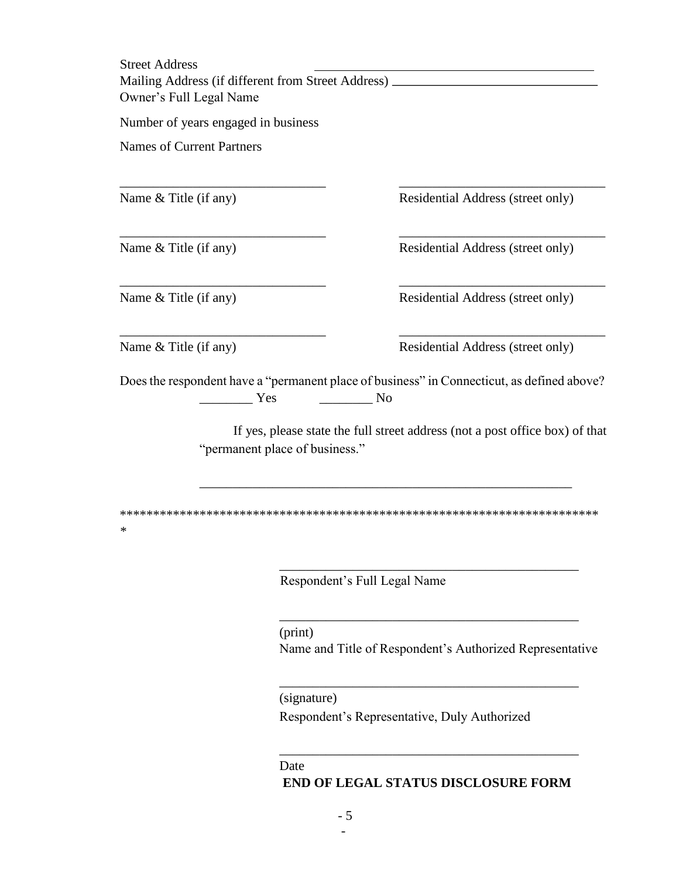Street Address Mailing Address (if different from Street Address) Owner's Full Legal Name

Number of years engaged in business

Names of Current Partners

Name & Title (if any) Residential Address (street only)

Name & Title (if any) Residential Address (street only)

Name & Title (if any) Residential Address (street only)

\*

Name & Title (if any) Residential Address (street only)

Does the respondent have a "permanent place of business" in Connecticut, as defined above? \_\_\_\_\_\_\_\_ Yes \_\_\_\_\_\_\_\_ No

\_\_\_\_\_\_\_\_\_\_\_\_\_\_\_\_\_\_\_\_\_\_\_\_\_\_\_\_\_\_\_ \_\_\_\_\_\_\_\_\_\_\_\_\_\_\_\_\_\_\_\_\_\_\_\_\_\_\_\_\_\_\_

\_\_\_\_\_\_\_\_\_\_\_\_\_\_\_\_\_\_\_\_\_\_\_\_\_\_\_\_\_\_\_ \_\_\_\_\_\_\_\_\_\_\_\_\_\_\_\_\_\_\_\_\_\_\_\_\_\_\_\_\_\_\_

\_\_\_\_\_\_\_\_\_\_\_\_\_\_\_\_\_\_\_\_\_\_\_\_\_\_\_\_\_\_\_ \_\_\_\_\_\_\_\_\_\_\_\_\_\_\_\_\_\_\_\_\_\_\_\_\_\_\_\_\_\_\_

\_\_\_\_\_\_\_\_\_\_\_\_\_\_\_\_\_\_\_\_\_\_\_\_\_\_\_\_\_\_\_ \_\_\_\_\_\_\_\_\_\_\_\_\_\_\_\_\_\_\_\_\_\_\_\_\_\_\_\_\_\_\_

If yes, please state the full street address (not a post office box) of that "permanent place of business."

\_\_\_\_\_\_\_\_\_\_\_\_\_\_\_\_\_\_\_\_\_\_\_\_\_\_\_\_\_\_\_\_\_\_\_\_\_\_\_\_\_\_\_\_\_\_\_\_\_\_\_\_\_\_\_\_

\*\*\*\*\*\*\*\*\*\*\*\*\*\*\*\*\*\*\*\*\*\*\*\*\*\*\*\*\*\*\*\*\*\*\*\*\*\*\*\*\*\*\*\*\*\*\*\*\*\*\*\*\*\*\*\*\*\*\*\*\*\*\*\*\*\*\*\*\*\*\*\*

Respondent's Full Legal Name

(print) Name and Title of Respondent's Authorized Representative

\_\_\_\_\_\_\_\_\_\_\_\_\_\_\_\_\_\_\_\_\_\_\_\_\_\_\_\_\_\_\_\_\_\_\_\_\_\_\_\_\_\_\_\_\_

\_\_\_\_\_\_\_\_\_\_\_\_\_\_\_\_\_\_\_\_\_\_\_\_\_\_\_\_\_\_\_\_\_\_\_\_\_\_\_\_\_\_\_\_\_

\_\_\_\_\_\_\_\_\_\_\_\_\_\_\_\_\_\_\_\_\_\_\_\_\_\_\_\_\_\_\_\_\_\_\_\_\_\_\_\_\_\_\_\_\_

(signature)

Respondent's Representative, Duly Authorized

#### Date

#### **END OF LEGAL STATUS DISCLOSURE FORM**

\_\_\_\_\_\_\_\_\_\_\_\_\_\_\_\_\_\_\_\_\_\_\_\_\_\_\_\_\_\_\_\_\_\_\_\_\_\_\_\_\_\_\_\_\_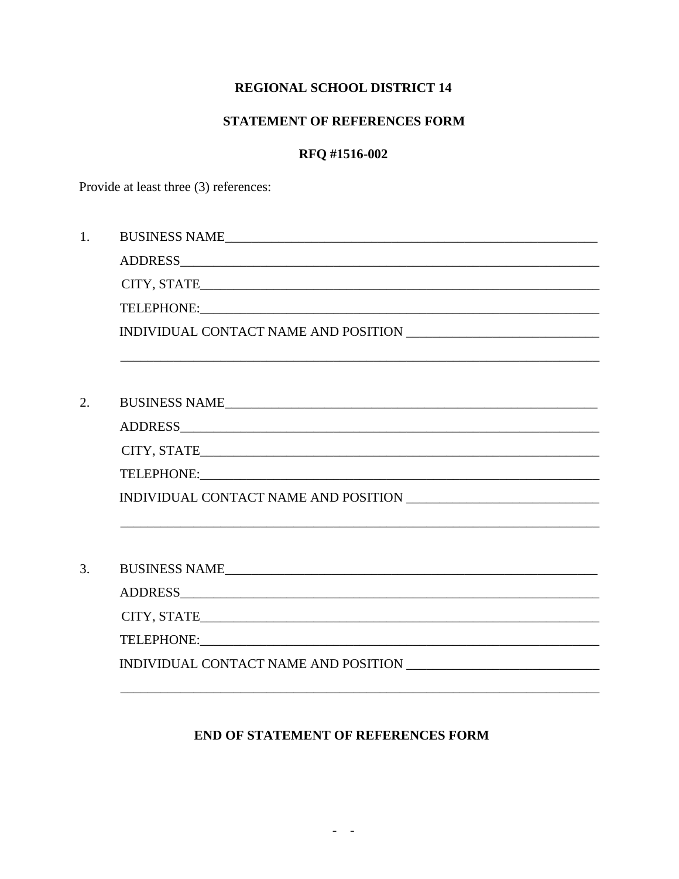## **REGIONAL SCHOOL DISTRICT 14**

## STATEMENT OF REFERENCES FORM

### RFQ #1516-002

Provide at least three (3) references:

| 1. | BUSINESS NAME                                                                     |
|----|-----------------------------------------------------------------------------------|
|    |                                                                                   |
|    |                                                                                   |
|    |                                                                                   |
|    |                                                                                   |
|    |                                                                                   |
|    |                                                                                   |
| 2. | BUSINESS NAME                                                                     |
|    |                                                                                   |
|    |                                                                                   |
|    |                                                                                   |
|    |                                                                                   |
|    | ,我们也不能在这里的人,我们也不能在这里的人,我们也不能在这里的人,我们也不能在这里的人,我们也不能在这里的人,我们也不能在这里的人,我们也不能在这里的人,我们也 |
|    |                                                                                   |
| 3. |                                                                                   |
|    |                                                                                   |
|    |                                                                                   |
|    |                                                                                   |
|    |                                                                                   |

# END OF STATEMENT OF REFERENCES FORM